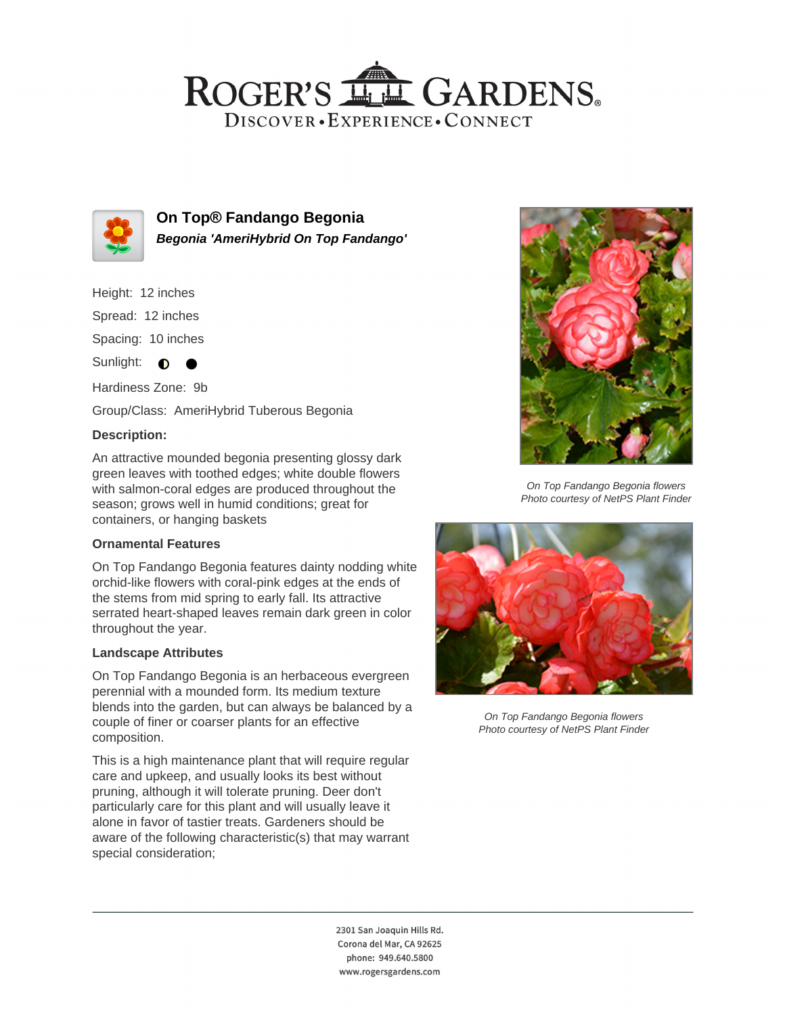## ROGER'S LL GARDENS. DISCOVER · EXPERIENCE · CONNECT



**On Top® Fandango Begonia Begonia 'AmeriHybrid On Top Fandango'**

Height: 12 inches

Spread: 12 inches

Spacing: 10 inches

Sunlight:  $\bullet$ 

Hardiness Zone: 9b

Group/Class: AmeriHybrid Tuberous Begonia

### **Description:**

An attractive mounded begonia presenting glossy dark green leaves with toothed edges; white double flowers with salmon-coral edges are produced throughout the season; grows well in humid conditions; great for containers, or hanging baskets

#### **Ornamental Features**

On Top Fandango Begonia features dainty nodding white orchid-like flowers with coral-pink edges at the ends of the stems from mid spring to early fall. Its attractive serrated heart-shaped leaves remain dark green in color throughout the year.

#### **Landscape Attributes**

On Top Fandango Begonia is an herbaceous evergreen perennial with a mounded form. Its medium texture blends into the garden, but can always be balanced by a couple of finer or coarser plants for an effective composition.

This is a high maintenance plant that will require regular care and upkeep, and usually looks its best without pruning, although it will tolerate pruning. Deer don't particularly care for this plant and will usually leave it alone in favor of tastier treats. Gardeners should be aware of the following characteristic(s) that may warrant special consideration;



On Top Fandango Begonia flowers Photo courtesy of NetPS Plant Finder



On Top Fandango Begonia flowers Photo courtesy of NetPS Plant Finder